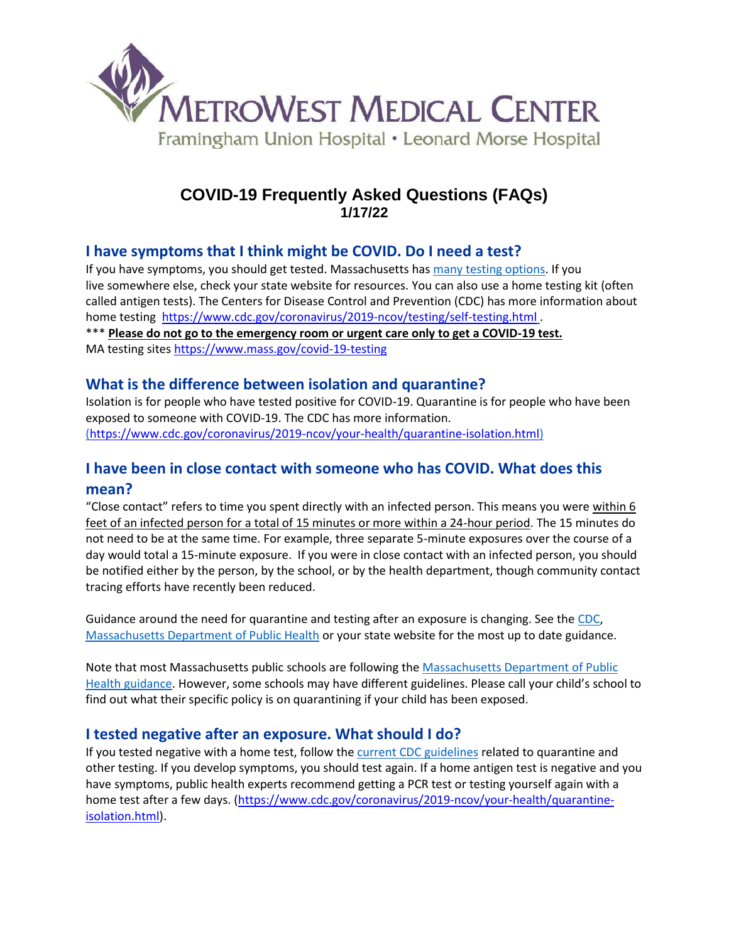

# **COVID-19 Frequently Asked Questions (FAQs) 1/17/22**

## **I have symptoms that I think might be COVID. Do I need a test?**

If you have symptoms, you should get tested. Massachusetts has [many testing options.](https://urldefense.com/v3/__https:/nam12.safelinks.protection.outlook.com/?url=https*3A*2F*2Fprotect-us.mimecast.com*2Fs*2FsH0kCZ6RKoFn3BvtXPp5J*3Fdomain*3Dclick.email.patientgateway.org&data=04*7C01*7Cymiller*40mms.org*7C9e9a5f9dca75491eaeee08d9d113cef2*7C458a53272e354039ab37680f1f49c047*7C0*7C0*7C637770705270074341*7CUnknown*7CTWFpbGZsb3d8eyJWIjoiMC4wLjAwMDAiLCJQIjoiV2luMzIiLCJBTiI6Ik1haWwiLCJXVCI6Mn0*3D*7C3000&sdata=Z4*2Fyb7*2BS8G2nEId4Y9p23ylK4EjdAzT2bQlAER*2FajH0*3D&reserved=0__;JSUlJSUlJSUlJSUlJSUlJSUlJSUlJSU!!AKy3WxY!rdpsFN7XCkZB-XpNplJPPqcZDwBIcHCLGyM7jkp2Tt5mToRSjm5LVS2CupAnfPH0F4uy2Zk$) If you live somewhere else, check your state website for resources. You can also use a home testing kit (often called antigen tests). The Centers for Disease Control and Prevention (CDC) has more information about home testing <https://www.cdc.gov/coronavirus/2019-ncov/testing/self-testing.html> .

\*\*\* **Please do not go to the emergency room or urgent care only to get a COVID-19 test.** MA testing sites<https://www.mass.gov/covid-19-testing>

## **What is the difference between isolation and quarantine?**

Isolation is for people who have tested positive for COVID-19. Quarantine is for people who have been exposed to someone with COVID-19. The CDC has more information. [\(](https://urldefense.com/v3/__https:/nam12.safelinks.protection.outlook.com/?url=https*3A*2F*2Fprotect-us.mimecast.com*2Fs*2FSH-iC2kEposoNyrULJcua*3Fdomain*3Dclick.email.patientgateway.org&data=04*7C01*7Cymiller*40mms.org*7C9e9a5f9dca75491eaeee08d9d113cef2*7C458a53272e354039ab37680f1f49c047*7C0*7C0*7C637770705270074341*7CUnknown*7CTWFpbGZsb3d8eyJWIjoiMC4wLjAwMDAiLCJQIjoiV2luMzIiLCJBTiI6Ik1haWwiLCJXVCI6Mn0*3D*7C3000&sdata=zzKJtXWlJyfDurMuo8VAHt1FEc1*2FlgCcEIzQHwPdok0*3D&reserved=0__;JSUlJSUlJSUlJSUlJSUlJSUlJSUl!!AKy3WxY!rdpsFN7XCkZB-XpNplJPPqcZDwBIcHCLGyM7jkp2Tt5mToRSjm5LVS2CupAnfPH0pzAR6_M$)[https://www.cdc.gov/coronavirus/2019-ncov/your-health/quarantine-isolation.html\)](https://www.cdc.gov/coronavirus/2019-ncov/your-health/quarantine-isolation.html)

# **I have been in close contact with someone who has COVID. What does this mean?**

"Close contact" refers to time you spent directly with an infected person. This means you were within 6 feet of an infected person for a total of 15 minutes or more within a 24-hour period. The 15 minutes do not need to be at the same time. For example, three separate 5-minute exposures over the course of a day would total a 15-minute exposure. If you were in close contact with an infected person, you should be notified either by the person, by the school, or by the health department, though community contact tracing efforts have recently been reduced.

Guidance around the need for quarantine and testing after an exposure is changing. See the [CDC,](https://urldefense.com/v3/__https:/nam12.safelinks.protection.outlook.com/?url=https*3A*2F*2Fprotect-us.mimecast.com*2Fs*2FiPPgC31GqpiY5N3ipx0q0*3Fdomain*3Dclick.email.patientgateway.org&data=04*7C01*7Cymiller*40mms.org*7C9e9a5f9dca75491eaeee08d9d113cef2*7C458a53272e354039ab37680f1f49c047*7C0*7C0*7C637770705270074341*7CUnknown*7CTWFpbGZsb3d8eyJWIjoiMC4wLjAwMDAiLCJQIjoiV2luMzIiLCJBTiI6Ik1haWwiLCJXVCI6Mn0*3D*7C3000&sdata=bYI0q8AuGqNn7j9kZbKmPlI4avXu5voSj*2BJXAMODZuA*3D&reserved=0__;JSUlJSUlJSUlJSUlJSUlJSUlJSUl!!AKy3WxY!rdpsFN7XCkZB-XpNplJPPqcZDwBIcHCLGyM7jkp2Tt5mToRSjm5LVS2CupAnfPH0egKiNq8$) [Massachusetts Department of Public Health](https://urldefense.com/v3/__https:/nam12.safelinks.protection.outlook.com/?url=https*3A*2F*2Fprotect-us.mimecast.com*2Fs*2FIPDeC4xJrqhApkPi5uT2B*3Fdomain*3Dclick.email.patientgateway.org&data=04*7C01*7Cymiller*40mms.org*7C9e9a5f9dca75491eaeee08d9d113cef2*7C458a53272e354039ab37680f1f49c047*7C0*7C0*7C637770705270074341*7CUnknown*7CTWFpbGZsb3d8eyJWIjoiMC4wLjAwMDAiLCJQIjoiV2luMzIiLCJBTiI6Ik1haWwiLCJXVCI6Mn0*3D*7C3000&sdata=M*2FLgPqIO3xjWJ3Ei4x6Eb57l*2FlOwBpYqtmTjPE*2FFz6Y*3D&reserved=0__;JSUlJSUlJSUlJSUlJSUlJSUlJSUlJSU!!AKy3WxY!rdpsFN7XCkZB-XpNplJPPqcZDwBIcHCLGyM7jkp2Tt5mToRSjm5LVS2CupAnfPH0TFXkqi4$) or your state website for the most up to date guidance.

Note that most Massachusetts public schools are following th[e Massachusetts Department of Public](https://urldefense.com/v3/__https:/nam12.safelinks.protection.outlook.com/?url=https*3A*2F*2Fprotect-us.mimecast.com*2Fs*2F0dI-Crk6Gvs35JMtvPKFg*3Fdomain*3Dclick.email.patientgateway.org&data=04*7C01*7Cymiller*40mms.org*7C9e9a5f9dca75491eaeee08d9d113cef2*7C458a53272e354039ab37680f1f49c047*7C0*7C0*7C637770705270074341*7CUnknown*7CTWFpbGZsb3d8eyJWIjoiMC4wLjAwMDAiLCJQIjoiV2luMzIiLCJBTiI6Ik1haWwiLCJXVCI6Mn0*3D*7C3000&sdata=OWGFKiAxqpr2MXpkORWX*2BoskxbcfyinSgNX3o48pRII*3D&reserved=0__;JSUlJSUlJSUlJSUlJSUlJSUlJSUl!!AKy3WxY!rdpsFN7XCkZB-XpNplJPPqcZDwBIcHCLGyM7jkp2Tt5mToRSjm5LVS2CupAnfPH0EXkAd9c$)  [Health guidance.](https://urldefense.com/v3/__https:/nam12.safelinks.protection.outlook.com/?url=https*3A*2F*2Fprotect-us.mimecast.com*2Fs*2F0dI-Crk6Gvs35JMtvPKFg*3Fdomain*3Dclick.email.patientgateway.org&data=04*7C01*7Cymiller*40mms.org*7C9e9a5f9dca75491eaeee08d9d113cef2*7C458a53272e354039ab37680f1f49c047*7C0*7C0*7C637770705270074341*7CUnknown*7CTWFpbGZsb3d8eyJWIjoiMC4wLjAwMDAiLCJQIjoiV2luMzIiLCJBTiI6Ik1haWwiLCJXVCI6Mn0*3D*7C3000&sdata=OWGFKiAxqpr2MXpkORWX*2BoskxbcfyinSgNX3o48pRII*3D&reserved=0__;JSUlJSUlJSUlJSUlJSUlJSUlJSUl!!AKy3WxY!rdpsFN7XCkZB-XpNplJPPqcZDwBIcHCLGyM7jkp2Tt5mToRSjm5LVS2CupAnfPH0EXkAd9c$) However, some schools may have different guidelines. Please call your child's school to find out what their specific policy is on quarantining if your child has been exposed.

## **I tested negative after an exposure. What should I do?**

If you tested negative with a home test, follow the [current CDC guidelines](https://urldefense.com/v3/__https:/nam12.safelinks.protection.outlook.com/?url=https*3A*2F*2Fprotect-us.mimecast.com*2Fs*2FSH-iC2kEposoNyrULJcua*3Fdomain*3Dclick.email.patientgateway.org&data=04*7C01*7Cymiller*40mms.org*7C9e9a5f9dca75491eaeee08d9d113cef2*7C458a53272e354039ab37680f1f49c047*7C0*7C0*7C637770705270074341*7CUnknown*7CTWFpbGZsb3d8eyJWIjoiMC4wLjAwMDAiLCJQIjoiV2luMzIiLCJBTiI6Ik1haWwiLCJXVCI6Mn0*3D*7C3000&sdata=zzKJtXWlJyfDurMuo8VAHt1FEc1*2FlgCcEIzQHwPdok0*3D&reserved=0__;JSUlJSUlJSUlJSUlJSUlJSUlJSUl!!AKy3WxY!rdpsFN7XCkZB-XpNplJPPqcZDwBIcHCLGyM7jkp2Tt5mToRSjm5LVS2CupAnfPH0pzAR6_M$) related to quarantine and other testing. If you develop symptoms, you should test again. If a home antigen test is negative and you have symptoms, public health experts recommend getting a PCR test or testing yourself again with a home test after a few days. [\(https://www.cdc.gov/coronavirus/2019-ncov/your-health/quarantine](https://www.cdc.gov/coronavirus/2019-ncov/your-health/quarantine-isolation.html)[isolation.html\)](https://www.cdc.gov/coronavirus/2019-ncov/your-health/quarantine-isolation.html).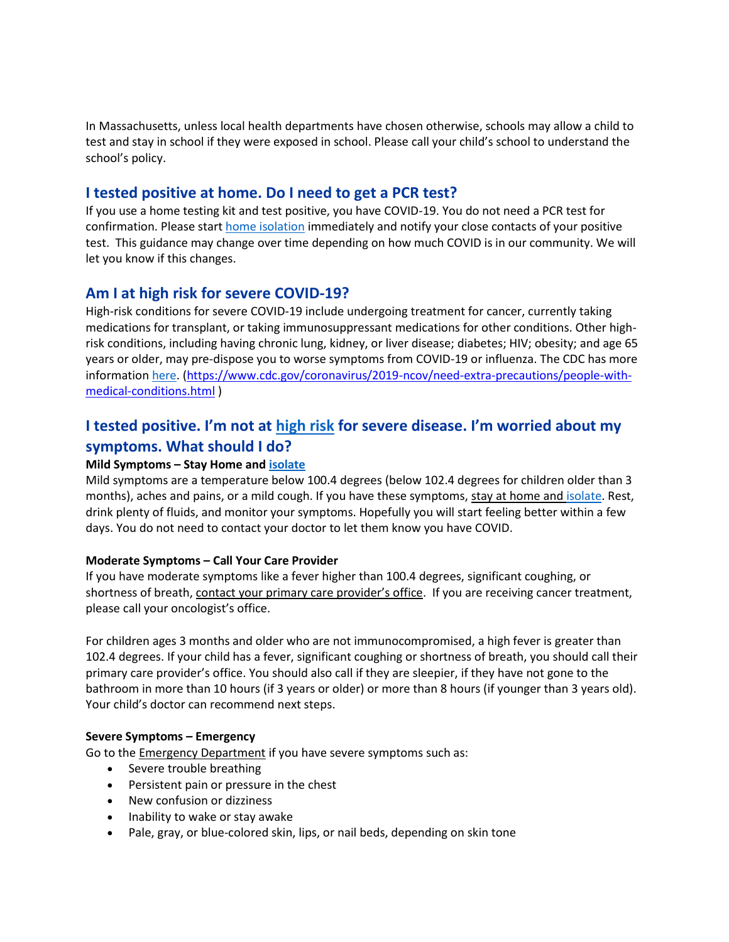In Massachusetts, unless local health departments have chosen otherwise, schools may allow a child to test and stay in school if they were exposed in school. Please call your child's school to understand the school's policy.

### **I tested positive at home. Do I need to get a PCR test?**

If you use a home testing kit and test positive, you have COVID-19. You do not need a PCR test for confirmation. Please star[t home isolation](https://urldefense.com/v3/__https:/nam12.safelinks.protection.outlook.com/?url=https*3A*2F*2Fprotect-us.mimecast.com*2Fs*2FSH-iC2kEposoNyrULJcua*3Fdomain*3Dclick.email.patientgateway.org&data=04*7C01*7Cymiller*40mms.org*7C9e9a5f9dca75491eaeee08d9d113cef2*7C458a53272e354039ab37680f1f49c047*7C0*7C0*7C637770705270074341*7CUnknown*7CTWFpbGZsb3d8eyJWIjoiMC4wLjAwMDAiLCJQIjoiV2luMzIiLCJBTiI6Ik1haWwiLCJXVCI6Mn0*3D*7C3000&sdata=zzKJtXWlJyfDurMuo8VAHt1FEc1*2FlgCcEIzQHwPdok0*3D&reserved=0__;JSUlJSUlJSUlJSUlJSUlJSUlJSUl!!AKy3WxY!rdpsFN7XCkZB-XpNplJPPqcZDwBIcHCLGyM7jkp2Tt5mToRSjm5LVS2CupAnfPH0pzAR6_M$) immediately and notify your close contacts of your positive test. This guidance may change over time depending on how much COVID is in our community. We will let you know if this changes.

### **Am I at high risk for severe COVID-19?**

High-risk conditions for severe COVID-19 include undergoing treatment for cancer, currently taking medications for transplant, or taking immunosuppressant medications for other conditions. Other highrisk conditions, including having chronic lung, kidney, or liver disease; diabetes; HIV; obesity; and age 65 years or older, may pre-dispose you to worse symptoms from COVID-19 or influenza. The CDC has more informatio[n here.](https://urldefense.com/v3/__https:/nam12.safelinks.protection.outlook.com/?url=https*3A*2F*2Fprotect-us.mimecast.com*2Fs*2Fvn7OC5ygvrtYVN8iVLqeS*3Fdomain*3Dclick.email.patientgateway.org&data=04*7C01*7Cymiller*40mms.org*7C9e9a5f9dca75491eaeee08d9d113cef2*7C458a53272e354039ab37680f1f49c047*7C0*7C0*7C637770705270074341*7CUnknown*7CTWFpbGZsb3d8eyJWIjoiMC4wLjAwMDAiLCJQIjoiV2luMzIiLCJBTiI6Ik1haWwiLCJXVCI6Mn0*3D*7C3000&sdata=MUBsBjyq1XQVJPEGkKwLVr*2BrhrKIuGTtSCIP6QEZghs*3D&reserved=0__;JSUlJSUlJSUlJSUlJSUlJSUlJSUl!!AKy3WxY!rdpsFN7XCkZB-XpNplJPPqcZDwBIcHCLGyM7jkp2Tt5mToRSjm5LVS2CupAnfPH0YNC4ZhM$) [\(https://www.cdc.gov/coronavirus/2019-ncov/need-extra-precautions/people-with](https://www.cdc.gov/coronavirus/2019-ncov/need-extra-precautions/people-with-medical-conditions.html)[medical-conditions.html](https://www.cdc.gov/coronavirus/2019-ncov/need-extra-precautions/people-with-medical-conditions.html) )

## **I tested positive. I'm not at [high risk](https://urldefense.com/v3/__https:/nam12.safelinks.protection.outlook.com/?url=https*3A*2F*2Fprotect-us.mimecast.com*2Fs*2Fvn7OC5ygvrtYVN8iVLqeS*3Fdomain*3Dclick.email.patientgateway.org&data=04*7C01*7Cymiller*40mms.org*7C9e9a5f9dca75491eaeee08d9d113cef2*7C458a53272e354039ab37680f1f49c047*7C0*7C0*7C637770705270074341*7CUnknown*7CTWFpbGZsb3d8eyJWIjoiMC4wLjAwMDAiLCJQIjoiV2luMzIiLCJBTiI6Ik1haWwiLCJXVCI6Mn0*3D*7C3000&sdata=MUBsBjyq1XQVJPEGkKwLVr*2BrhrKIuGTtSCIP6QEZghs*3D&reserved=0__;JSUlJSUlJSUlJSUlJSUlJSUlJSUl!!AKy3WxY!rdpsFN7XCkZB-XpNplJPPqcZDwBIcHCLGyM7jkp2Tt5mToRSjm5LVS2CupAnfPH0YNC4ZhM$) for severe disease. I'm worried about my symptoms. What should I do?**

#### **Mild Symptoms – Stay Home and [isolate](https://urldefense.com/v3/__https:/nam12.safelinks.protection.outlook.com/?url=https*3A*2F*2Fprotect-us.mimecast.com*2Fs*2FSH-iC2kEposoNyrULJcua*3Fdomain*3Dclick.email.patientgateway.org&data=04*7C01*7Cymiller*40mms.org*7C9e9a5f9dca75491eaeee08d9d113cef2*7C458a53272e354039ab37680f1f49c047*7C0*7C0*7C637770705270074341*7CUnknown*7CTWFpbGZsb3d8eyJWIjoiMC4wLjAwMDAiLCJQIjoiV2luMzIiLCJBTiI6Ik1haWwiLCJXVCI6Mn0*3D*7C3000&sdata=zzKJtXWlJyfDurMuo8VAHt1FEc1*2FlgCcEIzQHwPdok0*3D&reserved=0__;JSUlJSUlJSUlJSUlJSUlJSUlJSUl!!AKy3WxY!rdpsFN7XCkZB-XpNplJPPqcZDwBIcHCLGyM7jkp2Tt5mToRSjm5LVS2CupAnfPH0pzAR6_M$)**

Mild symptoms are a temperature below 100.4 degrees (below 102.4 degrees for children older than 3 months), aches and pains, or a mild cough. If you have these symptoms, stay at home an[d isolate.](https://urldefense.com/v3/__https:/nam12.safelinks.protection.outlook.com/?url=https*3A*2F*2Fprotect-us.mimecast.com*2Fs*2FSH-iC2kEposoNyrULJcua*3Fdomain*3Dclick.email.patientgateway.org&data=04*7C01*7Cymiller*40mms.org*7C9e9a5f9dca75491eaeee08d9d113cef2*7C458a53272e354039ab37680f1f49c047*7C0*7C0*7C637770705270230578*7CUnknown*7CTWFpbGZsb3d8eyJWIjoiMC4wLjAwMDAiLCJQIjoiV2luMzIiLCJBTiI6Ik1haWwiLCJXVCI6Mn0*3D*7C3000&sdata=YcjbutCuEqAKlB6wtIsKAPkDF8hc*2BX0aEN9b8GlLitk*3D&reserved=0__;JSUlJSUlJSUlJSUlJSUlJSUlJSUl!!AKy3WxY!rdpsFN7XCkZB-XpNplJPPqcZDwBIcHCLGyM7jkp2Tt5mToRSjm5LVS2CupAnfPH0-I5nAKI$) Rest, drink plenty of fluids, and monitor your symptoms. Hopefully you will start feeling better within a few days. You do not need to contact your doctor to let them know you have COVID.

#### **Moderate Symptoms – Call Your Care Provider**

If you have moderate symptoms like a fever higher than 100.4 degrees, significant coughing, or shortness of breath, contact your primary care provider's office. If you are receiving cancer treatment, please call your oncologist's office.

For children ages 3 months and older who are not immunocompromised, a high fever is greater than 102.4 degrees. If your child has a fever, significant coughing or shortness of breath, you should call their primary care provider's office. You should also call if they are sleepier, if they have not gone to the bathroom in more than 10 hours (if 3 years or older) or more than 8 hours (if younger than 3 years old). Your child's doctor can recommend next steps.

#### **Severe Symptoms – Emergency**

Go to the Emergency Department if you have severe symptoms such as:

- Severe trouble breathing
- **•** Persistent pain or pressure in the chest
- New confusion or dizziness
- Inability to wake or stay awake
- Pale, gray, or blue-colored skin, lips, or nail beds, depending on skin tone